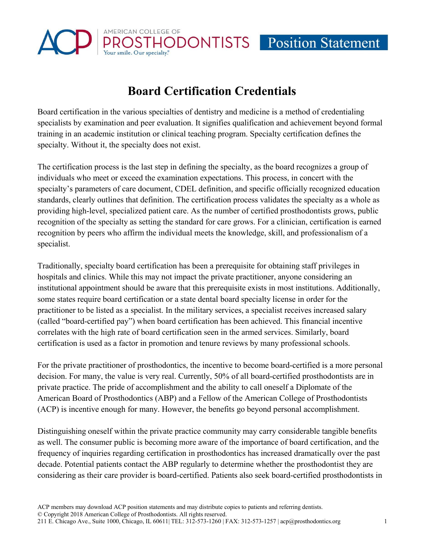

## **Board Certification Credentials**

Board certification in the various specialties of dentistry and medicine is a method of credentialing specialists by examination and peer evaluation. It signifies qualification and achievement beyond formal training in an academic institution or clinical teaching program. Specialty certification defines the specialty. Without it, the specialty does not exist.

The certification process is the last step in defining the specialty, as the board recognizes a group of individuals who meet or exceed the examination expectations. This process, in concert with the specialty's parameters of care document, CDEL definition, and specific officially recognized education standards, clearly outlines that definition. The certification process validates the specialty as a whole as providing high-level, specialized patient care. As the number of certified prosthodontists grows, public recognition of the specialty as setting the standard for care grows. For a clinician, certification is earned recognition by peers who affirm the individual meets the knowledge, skill, and professionalism of a specialist.

Traditionally, specialty board certification has been a prerequisite for obtaining staff privileges in hospitals and clinics. While this may not impact the private practitioner, anyone considering an institutional appointment should be aware that this prerequisite exists in most institutions. Additionally, some states require board certification or a state dental board specialty license in order for the practitioner to be listed as a specialist. In the military services, a specialist receives increased salary (called "board-certified pay") when board certification has been achieved. This financial incentive correlates with the high rate of board certification seen in the armed services. Similarly, board certification is used as a factor in promotion and tenure reviews by many professional schools.

For the private practitioner of prosthodontics, the incentive to become board-certified is a more personal decision. For many, the value is very real. Currently, 50% of all board-certified prosthodontists are in private practice. The pride of accomplishment and the ability to call oneself a Diplomate of the American Board of Prosthodontics (ABP) and a Fellow of the American College of Prosthodontists (ACP) is incentive enough for many. However, the benefits go beyond personal accomplishment.

Distinguishing oneself within the private practice community may carry considerable tangible benefits as well. The consumer public is becoming more aware of the importance of board certification, and the frequency of inquiries regarding certification in prosthodontics has increased dramatically over the past decade. Potential patients contact the ABP regularly to determine whether the prosthodontist they are considering as their care provider is board-certified. Patients also seek board-certified prosthodontists in